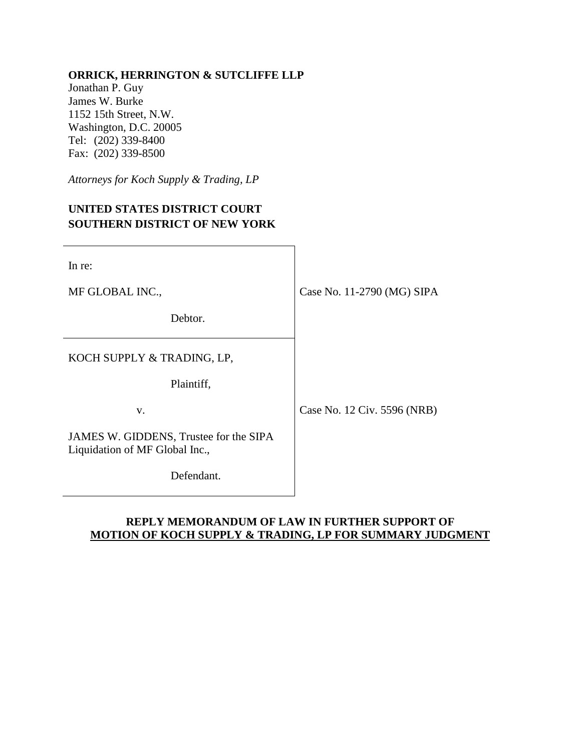# **ORRICK, HERRINGTON & SUTCLIFFE LLP**

Jonathan P. Guy James W. Burke 1152 15th Street, N.W. Washington, D.C. 20005 Tel: (202) 339-8400 Fax: (202) 339-8500

*Attorneys for Koch Supply & Trading, LP*

# **UNITED STATES DISTRICT COURT SOUTHERN DISTRICT OF NEW YORK**

| In re:                                                                   |                             |
|--------------------------------------------------------------------------|-----------------------------|
| MF GLOBAL INC.,                                                          | Case No. 11-2790 (MG) SIPA  |
| Debtor.                                                                  |                             |
| KOCH SUPPLY & TRADING, LP,                                               |                             |
| Plaintiff,                                                               |                             |
| V.                                                                       | Case No. 12 Civ. 5596 (NRB) |
| JAMES W. GIDDENS, Trustee for the SIPA<br>Liquidation of MF Global Inc., |                             |
| Defendant.                                                               |                             |

## **REPLY MEMORANDUM OF LAW IN FURTHER SUPPORT OF MOTION OF KOCH SUPPLY & TRADING, LP FOR SUMMARY JUDGMENT**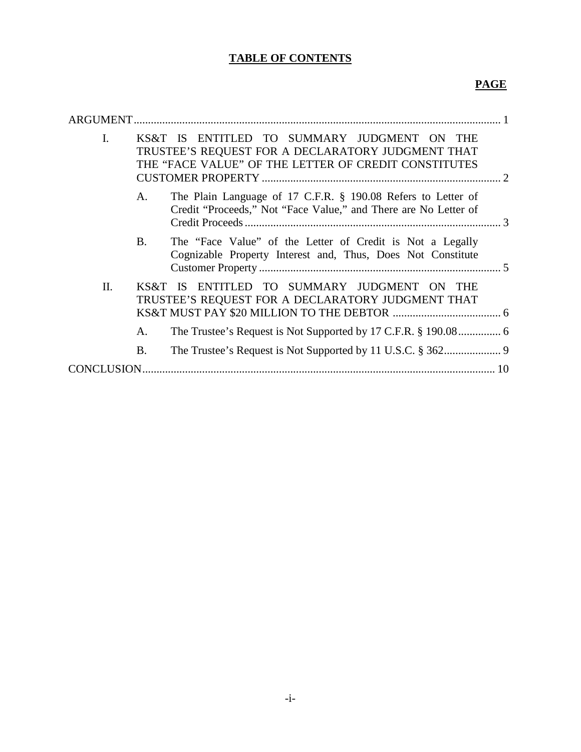# **TABLE OF CONTENTS**

# **PAGE**

| ARGUMENT.      |           |                                                                                                                                                          |
|----------------|-----------|----------------------------------------------------------------------------------------------------------------------------------------------------------|
| $\mathbf{I}$ . |           | KS&T IS ENTITLED TO SUMMARY JUDGMENT ON THE<br>TRUSTEE'S REQUEST FOR A DECLARATORY JUDGMENT THAT<br>THE "FACE VALUE" OF THE LETTER OF CREDIT CONSTITUTES |
|                | A.        | The Plain Language of 17 C.F.R. § 190.08 Refers to Letter of<br>Credit "Proceeds," Not "Face Value," and There are No Letter of                          |
|                | <b>B.</b> | The "Face Value" of the Letter of Credit is Not a Legally<br>Cognizable Property Interest and, Thus, Does Not Constitute                                 |
| Π.             | KS&T      | ENTITLED TO SUMMARY JUDGMENT ON THE<br>- IS<br>TRUSTEE'S REQUEST FOR A DECLARATORY JUDGMENT THAT                                                         |
|                | A.        |                                                                                                                                                          |
|                | <b>B.</b> |                                                                                                                                                          |
| CONCLUSION     |           |                                                                                                                                                          |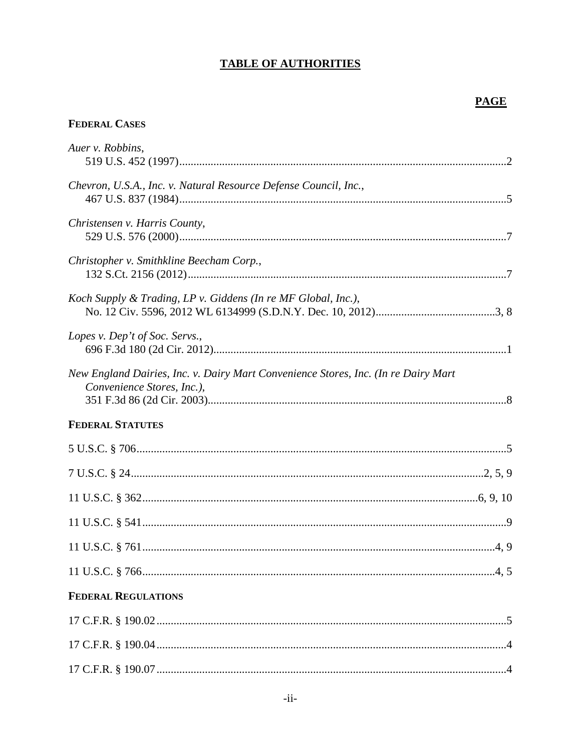# **TABLE OF AUTHORITIES**

# **FEDERAL CASES**

| Auer v. Robbins,                                                                                                 |  |
|------------------------------------------------------------------------------------------------------------------|--|
| Chevron, U.S.A., Inc. v. Natural Resource Defense Council, Inc.,                                                 |  |
| Christensen v. Harris County,                                                                                    |  |
| Christopher v. Smithkline Beecham Corp.,                                                                         |  |
| Koch Supply & Trading, LP v. Giddens (In re MF Global, Inc.),                                                    |  |
| Lopes v. Dep't of Soc. Servs.,                                                                                   |  |
| New England Dairies, Inc. v. Dairy Mart Convenience Stores, Inc. (In re Dairy Mart<br>Convenience Stores, Inc.), |  |
| <b>FEDERAL STATUTES</b>                                                                                          |  |
|                                                                                                                  |  |
|                                                                                                                  |  |
|                                                                                                                  |  |
|                                                                                                                  |  |
|                                                                                                                  |  |
|                                                                                                                  |  |
| <b>FEDERAL REGULATIONS</b>                                                                                       |  |
|                                                                                                                  |  |
|                                                                                                                  |  |
|                                                                                                                  |  |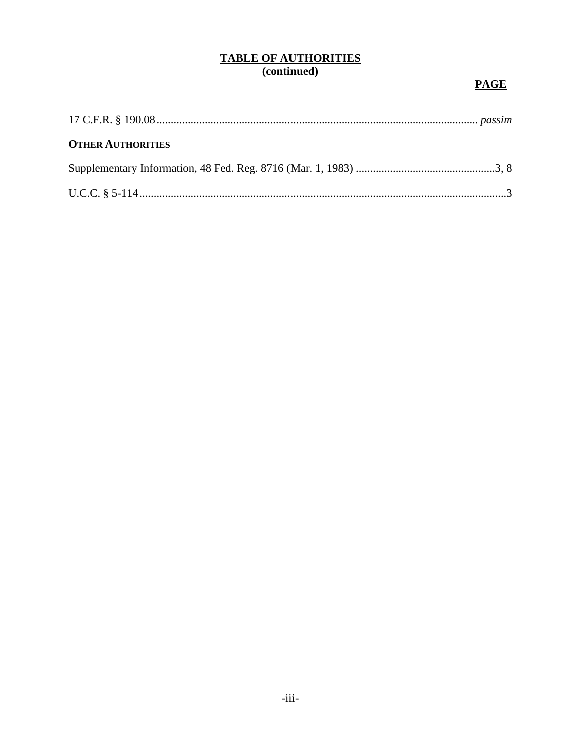# TABLE OF AUTHORITIES<br>(continued)

# **PAGE**

| <b>OTHER AUTHORITIES</b> |  |
|--------------------------|--|
|                          |  |
|                          |  |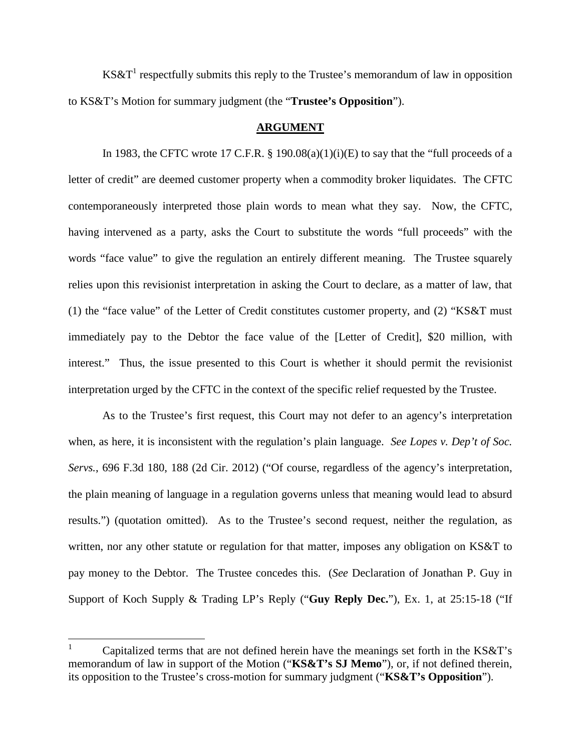KS&T<sup>1</sup> respectfully submits this reply to the Trustee's memorandum of law in opposition to KS&T's Motion for summary judgment (the "**Trustee's Opposition**").

#### **ARGUMENT**

In 1983, the CFTC wrote 17 C.F.R.  $\S$  190.08(a)(1)(i)(E) to say that the "full proceeds of a letter of credit" are deemed customer property when a commodity broker liquidates. The CFTC contemporaneously interpreted those plain words to mean what they say. Now, the CFTC, having intervened as a party, asks the Court to substitute the words "full proceeds" with the words "face value" to give the regulation an entirely different meaning. The Trustee squarely relies upon this revisionist interpretation in asking the Court to declare, as a matter of law, that (1) the "face value" of the Letter of Credit constitutes customer property, and (2) "KS&T must immediately pay to the Debtor the face value of the [Letter of Credit], \$20 million, with interest." Thus, the issue presented to this Court is whether it should permit the revisionist interpretation urged by the CFTC in the context of the specific relief requested by the Trustee.

As to the Trustee's first request, this Court may not defer to an agency's interpretation when, as here, it is inconsistent with the regulation's plain language. *See Lopes v. Dep't of Soc. Servs.*, 696 F.3d 180, 188 (2d Cir. 2012) ("Of course, regardless of the agency's interpretation, the plain meaning of language in a regulation governs unless that meaning would lead to absurd results.") (quotation omitted). As to the Trustee's second request, neither the regulation, as written, nor any other statute or regulation for that matter, imposes any obligation on KS&T to pay money to the Debtor. The Trustee concedes this. (*See* Declaration of Jonathan P. Guy in Support of Koch Supply & Trading LP's Reply ("**Guy Reply Dec.**"), Ex. 1, at 25:15-18 ("If

Capitalized terms that are not defined herein have the meanings set forth in the KS&T's memorandum of law in support of the Motion ("**KS&T's SJ Memo**"), or, if not defined therein, its opposition to the Trustee's cross-motion for summary judgment ("**KS&T's Opposition**").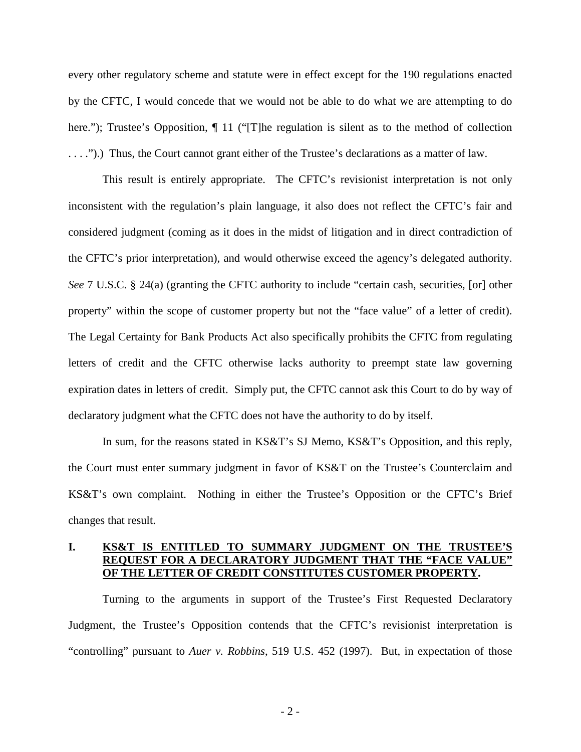every other regulatory scheme and statute were in effect except for the 190 regulations enacted by the CFTC, I would concede that we would not be able to do what we are attempting to do here."); Trustee's Opposition,  $\P$  11 ("The regulation is silent as to the method of collection . . . .").) Thus, the Court cannot grant either of the Trustee's declarations as a matter of law.

This result is entirely appropriate. The CFTC's revisionist interpretation is not only inconsistent with the regulation's plain language, it also does not reflect the CFTC's fair and considered judgment (coming as it does in the midst of litigation and in direct contradiction of the CFTC's prior interpretation), and would otherwise exceed the agency's delegated authority. *See* 7 U.S.C. § 24(a) (granting the CFTC authority to include "certain cash, securities, [or] other property" within the scope of customer property but not the "face value" of a letter of credit). The Legal Certainty for Bank Products Act also specifically prohibits the CFTC from regulating letters of credit and the CFTC otherwise lacks authority to preempt state law governing expiration dates in letters of credit. Simply put, the CFTC cannot ask this Court to do by way of declaratory judgment what the CFTC does not have the authority to do by itself.

In sum, for the reasons stated in KS&T's SJ Memo, KS&T's Opposition, and this reply, the Court must enter summary judgment in favor of KS&T on the Trustee's Counterclaim and KS&T's own complaint. Nothing in either the Trustee's Opposition or the CFTC's Brief changes that result.

## **I. KS&T IS ENTITLED TO SUMMARY JUDGMENT ON THE TRUSTEE'S REQUEST FOR A DECLARATORY JUDGMENT THAT THE "FACE VALUE" OF THE LETTER OF CREDIT CONSTITUTES CUSTOMER PROPERTY.**

Turning to the arguments in support of the Trustee's First Requested Declaratory Judgment, the Trustee's Opposition contends that the CFTC's revisionist interpretation is "controlling" pursuant to *Auer v. Robbins*, 519 U.S. 452 (1997). But, in expectation of those

- 2 -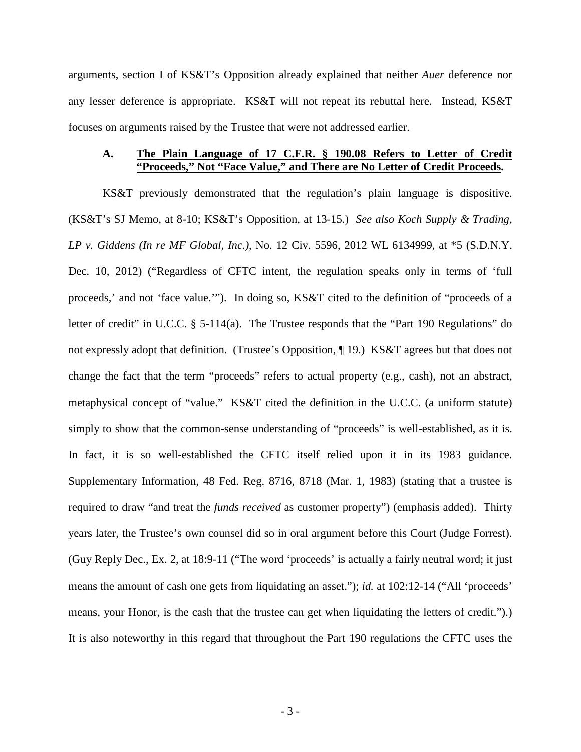arguments, section I of KS&T's Opposition already explained that neither *Auer* deference nor any lesser deference is appropriate. KS&T will not repeat its rebuttal here. Instead, KS&T focuses on arguments raised by the Trustee that were not addressed earlier.

### **A. The Plain Language of 17 C.F.R. § 190.08 Refers to Letter of Credit "Proceeds," Not "Face Value," and There are No Letter of Credit Proceeds.**

KS&T previously demonstrated that the regulation's plain language is dispositive. (KS&T's SJ Memo, at 8-10; KS&T's Opposition, at 13-15.) *See also Koch Supply & Trading, LP v. Giddens (In re MF Global, Inc.)*, No. 12 Civ. 5596, 2012 WL 6134999, at \*5 (S.D.N.Y. Dec. 10, 2012) ("Regardless of CFTC intent, the regulation speaks only in terms of 'full proceeds,' and not 'face value.'"). In doing so, KS&T cited to the definition of "proceeds of a letter of credit" in U.C.C. § 5-114(a). The Trustee responds that the "Part 190 Regulations" do not expressly adopt that definition. (Trustee's Opposition, 19.) KS&T agrees but that does not change the fact that the term "proceeds" refers to actual property (e.g., cash), not an abstract, metaphysical concept of "value." KS&T cited the definition in the U.C.C. (a uniform statute) simply to show that the common-sense understanding of "proceeds" is well-established, as it is. In fact, it is so well-established the CFTC itself relied upon it in its 1983 guidance. Supplementary Information, 48 Fed. Reg. 8716, 8718 (Mar. 1, 1983) (stating that a trustee is required to draw "and treat the *funds received* as customer property") (emphasis added). Thirty years later, the Trustee's own counsel did so in oral argument before this Court (Judge Forrest). (Guy Reply Dec., Ex. 2, at 18:9-11 ("The word 'proceeds' is actually a fairly neutral word; it just means the amount of cash one gets from liquidating an asset."); *id.* at 102:12-14 ("All 'proceeds' means, your Honor, is the cash that the trustee can get when liquidating the letters of credit.").) It is also noteworthy in this regard that throughout the Part 190 regulations the CFTC uses the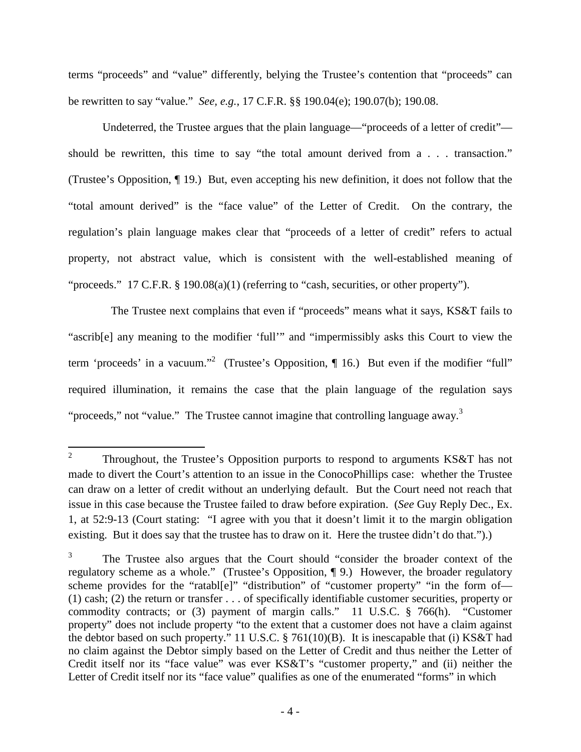terms "proceeds" and "value" differently, belying the Trustee's contention that "proceeds" can be rewritten to say "value." *See, e.g.*, 17 C.F.R. §§ 190.04(e); 190.07(b); 190.08.

Undeterred, the Trustee argues that the plain language—"proceeds of a letter of credit" should be rewritten, this time to say "the total amount derived from a . . . transaction." (Trustee's Opposition, ¶ 19.) But, even accepting his new definition, it does not follow that the "total amount derived" is the "face value" of the Letter of Credit. On the contrary, the regulation's plain language makes clear that "proceeds of a letter of credit" refers to actual property, not abstract value, which is consistent with the well-established meaning of "proceeds." 17 C.F.R. § 190.08(a)(1) (referring to "cash, securities, or other property").

The Trustee next complains that even if "proceeds" means what it says, KS&T fails to "ascrib[e] any meaning to the modifier 'full'" and "impermissibly asks this Court to view the term 'proceeds' in a vacuum."<sup>2</sup> (Trustee's Opposition,  $\P$  16.) But even if the modifier "full" required illumination, it remains the case that the plain language of the regulation says "proceeds," not "value." The Trustee cannot imagine that controlling language away.<sup>3</sup>

<sup>2</sup> Throughout, the Trustee's Opposition purports to respond to arguments KS&T has not made to divert the Court's attention to an issue in the ConocoPhillips case: whether the Trustee can draw on a letter of credit without an underlying default. But the Court need not reach that issue in this case because the Trustee failed to draw before expiration. (*See* Guy Reply Dec., Ex. 1, at 52:9-13 (Court stating: "I agree with you that it doesn't limit it to the margin obligation existing. But it does say that the trustee has to draw on it. Here the trustee didn't do that.").)

<sup>3</sup> The Trustee also argues that the Court should "consider the broader context of the regulatory scheme as a whole." (Trustee's Opposition, ¶ 9.) However, the broader regulatory scheme provides for the "ratabl[e]" "distribution" of "customer property" "in the form of-(1) cash; (2) the return or transfer . . . of specifically identifiable customer securities, property or commodity contracts; or (3) payment of margin calls." 11 U.S.C. § 766(h). "Customer property" does not include property "to the extent that a customer does not have a claim against the debtor based on such property." 11 U.S.C. § 761(10)(B). It is inescapable that (i) KS&T had no claim against the Debtor simply based on the Letter of Credit and thus neither the Letter of Credit itself nor its "face value" was ever KS&T's "customer property," and (ii) neither the Letter of Credit itself nor its "face value" qualifies as one of the enumerated "forms" in which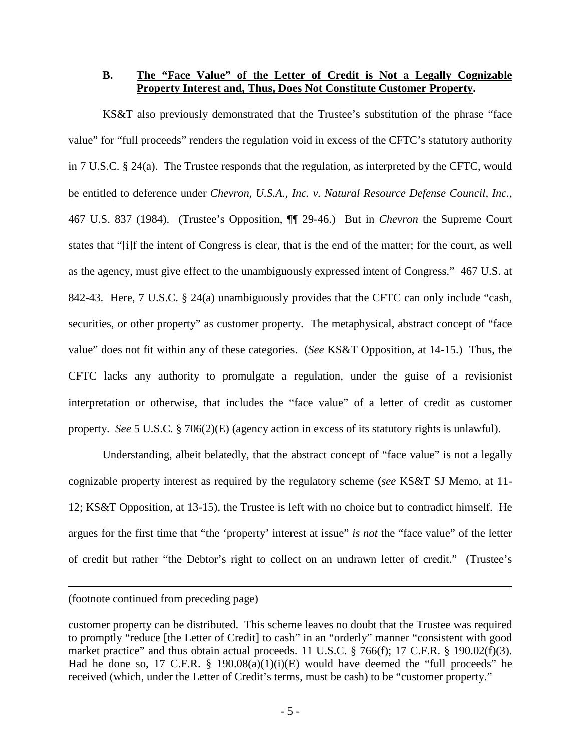## **B. The "Face Value" of the Letter of Credit is Not a Legally Cognizable Property Interest and, Thus, Does Not Constitute Customer Property.**

KS&T also previously demonstrated that the Trustee's substitution of the phrase "face value" for "full proceeds" renders the regulation void in excess of the CFTC's statutory authority in 7 U.S.C. § 24(a). The Trustee responds that the regulation, as interpreted by the CFTC, would be entitled to deference under *Chevron, U.S.A., Inc. v. Natural Resource Defense Council, Inc.*, 467 U.S. 837 (1984). (Trustee's Opposition, ¶¶ 29-46.) But in *Chevron* the Supreme Court states that "[i]f the intent of Congress is clear, that is the end of the matter; for the court, as well as the agency, must give effect to the unambiguously expressed intent of Congress." 467 U.S. at 842-43. Here, 7 U.S.C. § 24(a) unambiguously provides that the CFTC can only include "cash, securities, or other property" as customer property. The metaphysical, abstract concept of "face value" does not fit within any of these categories. (*See* KS&T Opposition, at 14-15.) Thus, the CFTC lacks any authority to promulgate a regulation, under the guise of a revisionist interpretation or otherwise, that includes the "face value" of a letter of credit as customer property. *See* 5 U.S.C. § 706(2)(E) (agency action in excess of its statutory rights is unlawful).

Understanding, albeit belatedly, that the abstract concept of "face value" is not a legally cognizable property interest as required by the regulatory scheme (*see* KS&T SJ Memo, at 11- 12; KS&T Opposition, at 13-15), the Trustee is left with no choice but to contradict himself. He argues for the first time that "the 'property' interest at issue" *is not* the "face value" of the letter of credit but rather "the Debtor's right to collect on an undrawn letter of credit." (Trustee's

(footnote continued from preceding page)

customer property can be distributed. This scheme leaves no doubt that the Trustee was required to promptly "reduce [the Letter of Credit] to cash" in an "orderly" manner "consistent with good market practice" and thus obtain actual proceeds. 11 U.S.C. § 766(f); 17 C.F.R. § 190.02(f)(3). Had he done so, 17 C.F.R.  $\S$  190.08(a)(1)(i)(E) would have deemed the "full proceeds" he received (which, under the Letter of Credit's terms, must be cash) to be "customer property."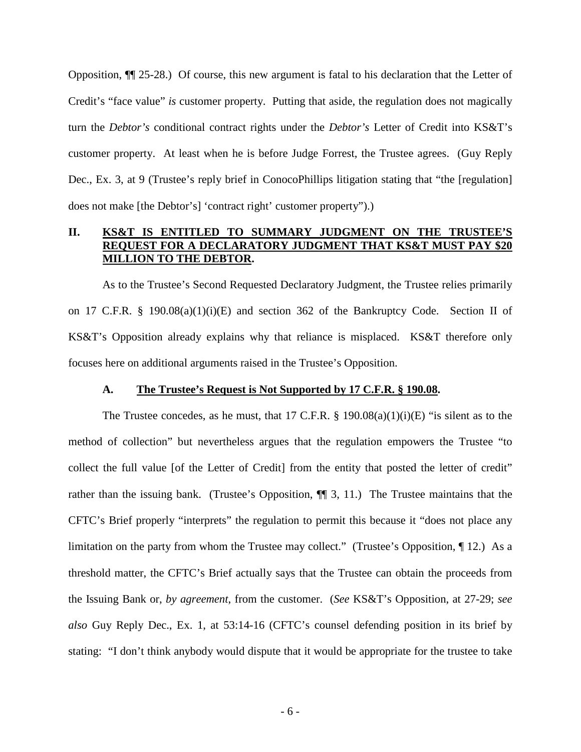Opposition, ¶¶ 25-28.) Of course, this new argument is fatal to his declaration that the Letter of Credit's "face value" *is* customer property. Putting that aside, the regulation does not magically turn the *Debtor's* conditional contract rights under the *Debtor's* Letter of Credit into KS&T's customer property. At least when he is before Judge Forrest, the Trustee agrees. (Guy Reply Dec., Ex. 3, at 9 (Trustee's reply brief in ConocoPhillips litigation stating that "the [regulation] does not make [the Debtor's] 'contract right' customer property").)

## **II. KS&T IS ENTITLED TO SUMMARY JUDGMENT ON THE TRUSTEE'S REQUEST FOR A DECLARATORY JUDGMENT THAT KS&T MUST PAY \$20 MILLION TO THE DEBTOR.**

As to the Trustee's Second Requested Declaratory Judgment, the Trustee relies primarily on 17 C.F.R. § 190.08(a)(1)(i)(E) and section 362 of the Bankruptcy Code. Section II of KS&T's Opposition already explains why that reliance is misplaced. KS&T therefore only focuses here on additional arguments raised in the Trustee's Opposition.

#### **A. The Trustee's Request is Not Supported by 17 C.F.R. § 190.08.**

The Trustee concedes, as he must, that 17 C.F.R. § 190.08(a)(1)(i)(E) "is silent as to the method of collection" but nevertheless argues that the regulation empowers the Trustee "to collect the full value [of the Letter of Credit] from the entity that posted the letter of credit" rather than the issuing bank. (Trustee's Opposition,  $\P$  3, 11.) The Trustee maintains that the CFTC's Brief properly "interprets" the regulation to permit this because it "does not place any limitation on the party from whom the Trustee may collect." (Trustee's Opposition, ¶ 12.) As a threshold matter, the CFTC's Brief actually says that the Trustee can obtain the proceeds from the Issuing Bank or, *by agreement*, from the customer. (*See* KS&T's Opposition, at 27-29; *see also* Guy Reply Dec., Ex. 1, at 53:14-16 (CFTC's counsel defending position in its brief by stating: "I don't think anybody would dispute that it would be appropriate for the trustee to take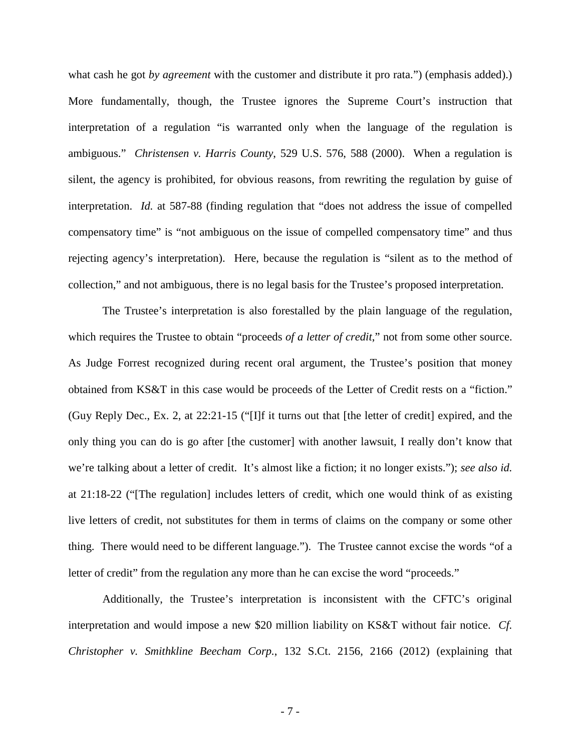what cash he got *by agreement* with the customer and distribute it pro rata.") (emphasis added).) More fundamentally, though, the Trustee ignores the Supreme Court's instruction that interpretation of a regulation "is warranted only when the language of the regulation is ambiguous." *Christensen v. Harris County*, 529 U.S. 576, 588 (2000). When a regulation is silent, the agency is prohibited, for obvious reasons, from rewriting the regulation by guise of interpretation. *Id.* at 587-88 (finding regulation that "does not address the issue of compelled compensatory time" is "not ambiguous on the issue of compelled compensatory time" and thus rejecting agency's interpretation). Here, because the regulation is "silent as to the method of collection," and not ambiguous, there is no legal basis for the Trustee's proposed interpretation.

The Trustee's interpretation is also forestalled by the plain language of the regulation, which requires the Trustee to obtain "proceeds *of a letter of credit*," not from some other source. As Judge Forrest recognized during recent oral argument, the Trustee's position that money obtained from KS&T in this case would be proceeds of the Letter of Credit rests on a "fiction." (Guy Reply Dec., Ex. 2, at 22:21-15 ("[I]f it turns out that [the letter of credit] expired, and the only thing you can do is go after [the customer] with another lawsuit, I really don't know that we're talking about a letter of credit. It's almost like a fiction; it no longer exists."); *see also id.* at 21:18-22 ("[The regulation] includes letters of credit, which one would think of as existing live letters of credit, not substitutes for them in terms of claims on the company or some other thing. There would need to be different language."). The Trustee cannot excise the words "of a letter of credit" from the regulation any more than he can excise the word "proceeds."

Additionally, the Trustee's interpretation is inconsistent with the CFTC's original interpretation and would impose a new \$20 million liability on KS&T without fair notice. *Cf. Christopher v. Smithkline Beecham Corp.*, 132 S.Ct. 2156, 2166 (2012) (explaining that

- 7 -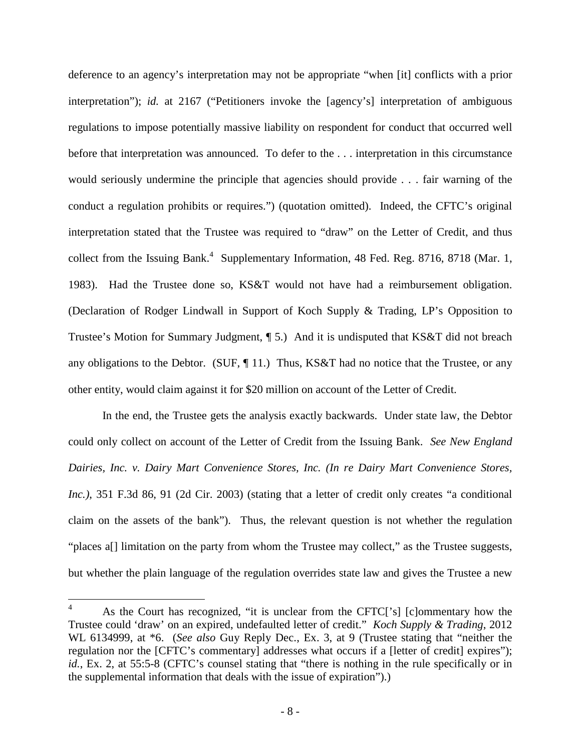deference to an agency's interpretation may not be appropriate "when [it] conflicts with a prior interpretation"); *id.* at 2167 ("Petitioners invoke the [agency's] interpretation of ambiguous regulations to impose potentially massive liability on respondent for conduct that occurred well before that interpretation was announced. To defer to the . . . interpretation in this circumstance would seriously undermine the principle that agencies should provide . . . fair warning of the conduct a regulation prohibits or requires.") (quotation omitted). Indeed, the CFTC's original interpretation stated that the Trustee was required to "draw" on the Letter of Credit, and thus collect from the Issuing Bank.<sup>4</sup> Supplementary Information, 48 Fed. Reg. 8716, 8718 (Mar. 1, 1983). Had the Trustee done so, KS&T would not have had a reimbursement obligation. (Declaration of Rodger Lindwall in Support of Koch Supply & Trading, LP's Opposition to Trustee's Motion for Summary Judgment, ¶ 5.) And it is undisputed that KS&T did not breach any obligations to the Debtor. (SUF, ¶ 11.) Thus, KS&T had no notice that the Trustee, or any other entity, would claim against it for \$20 million on account of the Letter of Credit.

In the end, the Trustee gets the analysis exactly backwards. Under state law, the Debtor could only collect on account of the Letter of Credit from the Issuing Bank. *See New England Dairies, Inc. v. Dairy Mart Convenience Stores, Inc. (In re Dairy Mart Convenience Stores, Inc.)*, 351 F.3d 86, 91 (2d Cir. 2003) (stating that a letter of credit only creates "a conditional claim on the assets of the bank"). Thus, the relevant question is not whether the regulation "places a<sup>[]</sup> limitation on the party from whom the Trustee may collect," as the Trustee suggests, but whether the plain language of the regulation overrides state law and gives the Trustee a new

<sup>&</sup>lt;sup>4</sup> As the Court has recognized, "it is unclear from the CFTC['s] [c]ommentary how the Trustee could 'draw' on an expired, undefaulted letter of credit." *Koch Supply & Trading*, 2012 WL 6134999, at \*6. (*See also* Guy Reply Dec., Ex. 3, at 9 (Trustee stating that "neither the regulation nor the [CFTC's commentary] addresses what occurs if a [letter of credit] expires"); *id.*, Ex. 2, at 55:5-8 (CFTC's counsel stating that "there is nothing in the rule specifically or in the supplemental information that deals with the issue of expiration").)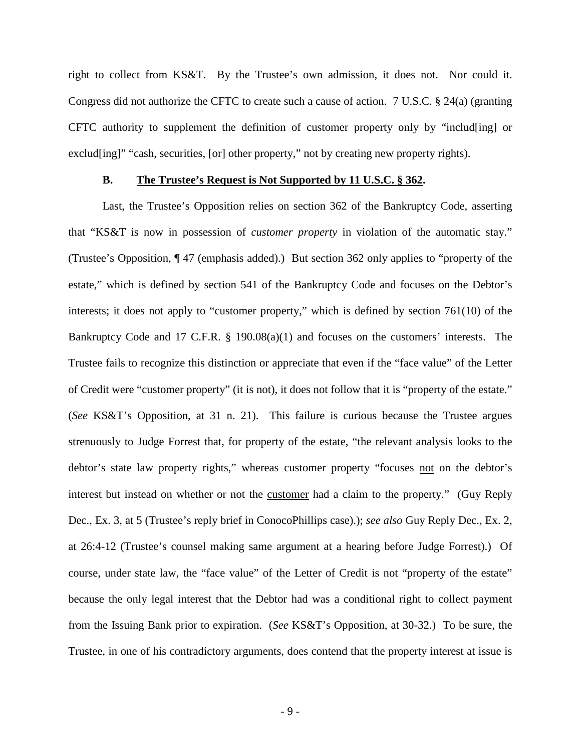right to collect from KS&T. By the Trustee's own admission, it does not. Nor could it. Congress did not authorize the CFTC to create such a cause of action. 7 U.S.C. § 24(a) (granting CFTC authority to supplement the definition of customer property only by "includ[ing] or exclud[ing]" "cash, securities, [or] other property," not by creating new property rights).

#### **B. The Trustee's Request is Not Supported by 11 U.S.C. § 362.**

Last, the Trustee's Opposition relies on section 362 of the Bankruptcy Code, asserting that "KS&T is now in possession of *customer property* in violation of the automatic stay." (Trustee's Opposition, ¶ 47 (emphasis added).) But section 362 only applies to "property of the estate," which is defined by section 541 of the Bankruptcy Code and focuses on the Debtor's interests; it does not apply to "customer property," which is defined by section 761(10) of the Bankruptcy Code and 17 C.F.R. § 190.08(a)(1) and focuses on the customers' interests. The Trustee fails to recognize this distinction or appreciate that even if the "face value" of the Letter of Credit were "customer property" (it is not), it does not follow that it is "property of the estate." (*See* KS&T's Opposition, at 31 n. 21). This failure is curious because the Trustee argues strenuously to Judge Forrest that, for property of the estate, "the relevant analysis looks to the debtor's state law property rights," whereas customer property "focuses not on the debtor's interest but instead on whether or not the customer had a claim to the property." (Guy Reply Dec., Ex. 3, at 5 (Trustee's reply brief in ConocoPhillips case).); *see also* Guy Reply Dec., Ex. 2, at 26:4-12 (Trustee's counsel making same argument at a hearing before Judge Forrest).) Of course, under state law, the "face value" of the Letter of Credit is not "property of the estate" because the only legal interest that the Debtor had was a conditional right to collect payment from the Issuing Bank prior to expiration. (*See* KS&T's Opposition, at 30-32.) To be sure, the Trustee, in one of his contradictory arguments, does contend that the property interest at issue is